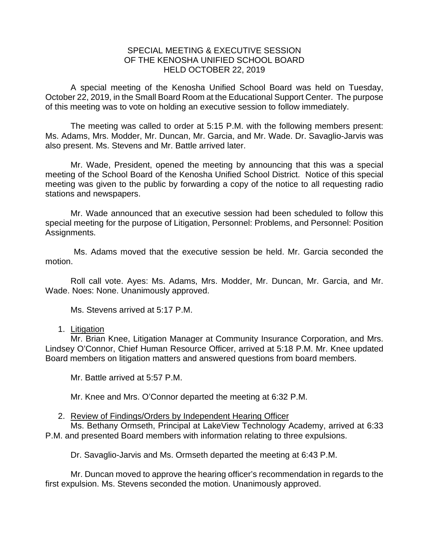## SPECIAL MEETING & EXECUTIVE SESSION OF THE KENOSHA UNIFIED SCHOOL BOARD HELD OCTOBER 22, 2019

A special meeting of the Kenosha Unified School Board was held on Tuesday, October 22, 2019, in the Small Board Room at the Educational Support Center. The purpose of this meeting was to vote on holding an executive session to follow immediately.

The meeting was called to order at 5:15 P.M. with the following members present: Ms. Adams, Mrs. Modder, Mr. Duncan, Mr. Garcia, and Mr. Wade. Dr. Savaglio-Jarvis was also present. Ms. Stevens and Mr. Battle arrived later.

Mr. Wade, President, opened the meeting by announcing that this was a special meeting of the School Board of the Kenosha Unified School District. Notice of this special meeting was given to the public by forwarding a copy of the notice to all requesting radio stations and newspapers.

Mr. Wade announced that an executive session had been scheduled to follow this special meeting for the purpose of Litigation, Personnel: Problems, and Personnel: Position Assignments.

Ms. Adams moved that the executive session be held. Mr. Garcia seconded the motion.

Roll call vote. Ayes: Ms. Adams, Mrs. Modder, Mr. Duncan, Mr. Garcia, and Mr. Wade. Noes: None. Unanimously approved.

Ms. Stevens arrived at 5:17 P.M.

#### 1. Litigation

Mr. Brian Knee, Litigation Manager at Community Insurance Corporation, and Mrs. Lindsey O'Connor, Chief Human Resource Officer, arrived at 5:18 P.M. Mr. Knee updated Board members on litigation matters and answered questions from board members.

Mr. Battle arrived at 5:57 P.M.

Mr. Knee and Mrs. O'Connor departed the meeting at 6:32 P.M.

## 2. Review of Findings/Orders by Independent Hearing Officer

Ms. Bethany Ormseth, Principal at LakeView Technology Academy, arrived at 6:33 P.M. and presented Board members with information relating to three expulsions.

Dr. Savaglio-Jarvis and Ms. Ormseth departed the meeting at 6:43 P.M.

Mr. Duncan moved to approve the hearing officer's recommendation in regards to the first expulsion. Ms. Stevens seconded the motion. Unanimously approved.